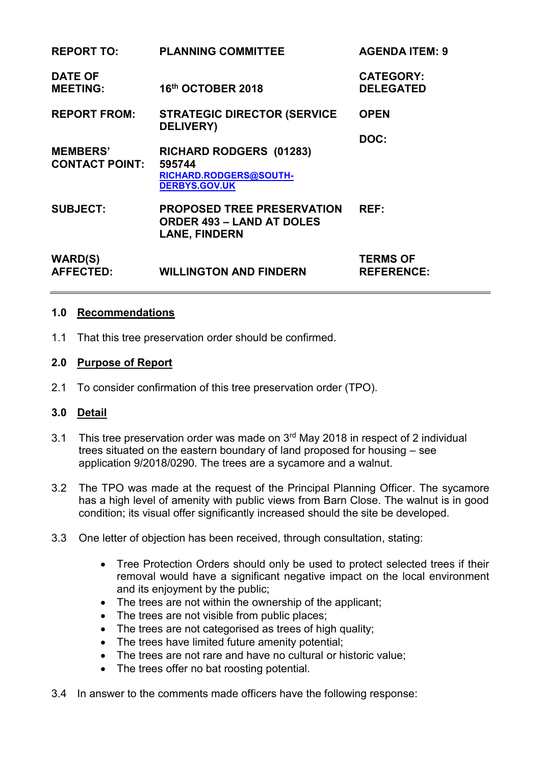| <b>REPORT TO:</b>                        | <b>PLANNING COMMITTEE</b>                                                                     | <b>AGENDA ITEM: 9</b>                |
|------------------------------------------|-----------------------------------------------------------------------------------------------|--------------------------------------|
| <b>DATE OF</b><br><b>MEETING:</b>        | 16th OCTOBER 2018                                                                             | <b>CATEGORY:</b><br><b>DELEGATED</b> |
| <b>REPORT FROM:</b>                      | <b>STRATEGIC DIRECTOR (SERVICE</b><br><b>DELIVERY)</b>                                        | <b>OPEN</b>                          |
|                                          |                                                                                               | DOC:                                 |
| <b>MEMBERS'</b><br><b>CONTACT POINT:</b> | RICHARD RODGERS (01283)<br>595744                                                             |                                      |
|                                          | RICHARD.RODGERS@SOUTH-<br><b>DERBYS.GOV.UK</b>                                                |                                      |
| <b>SUBJECT:</b>                          | <b>PROPOSED TREE PRESERVATION</b><br><b>ORDER 493 - LAND AT DOLES</b><br><b>LANE, FINDERN</b> | REF:                                 |
| <b>WARD(S)</b><br><b>AFFECTED:</b>       | <b>WILLINGTON AND FINDERN</b>                                                                 | <b>TERMS OF</b><br><b>REFERENCE:</b> |

### **1.0 Recommendations**

1.1 That this tree preservation order should be confirmed.

#### **2.0 Purpose of Report**

2.1 To consider confirmation of this tree preservation order (TPO).

### **3.0 Detail**

- 3.1 This tree preservation order was made on 3<sup>rd</sup> May 2018 in respect of 2 individual trees situated on the eastern boundary of land proposed for housing – see application 9/2018/0290. The trees are a sycamore and a walnut.
- 3.2 The TPO was made at the request of the Principal Planning Officer. The sycamore has a high level of amenity with public views from Barn Close. The walnut is in good condition; its visual offer significantly increased should the site be developed.
- 3.3 One letter of objection has been received, through consultation, stating:
	- Tree Protection Orders should only be used to protect selected trees if their removal would have a significant negative impact on the local environment and its enjoyment by the public;
	- The trees are not within the ownership of the applicant;
	- The trees are not visible from public places;
	- The trees are not categorised as trees of high quality;
	- The trees have limited future amenity potential;
	- The trees are not rare and have no cultural or historic value;
	- The trees offer no bat roosting potential.
- 3.4 In answer to the comments made officers have the following response: